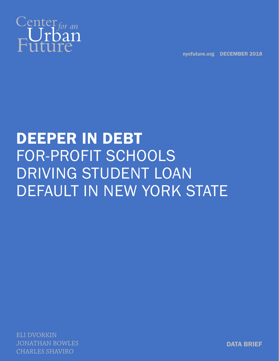

nycfuture.org DECEMBER 2018

# DEEPER IN DEBT FOR-PROFIT SCHOOLS DRIVING STUDENT LOAN DEFAULT IN NEW YORK STATE

ELI DVORKIN JONATHAN BOWLES CHARLES SHAVIRO

DATA BRIEF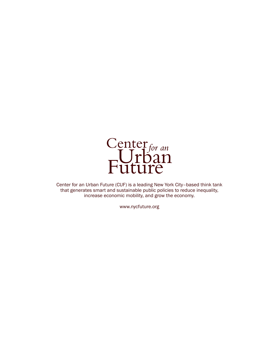

Center for an Urban Future (CUF) is a leading New York City–based think tank that generates smart and sustainable public policies to reduce inequality, increase economic mobility, and grow the economy.

www.nycfuture.org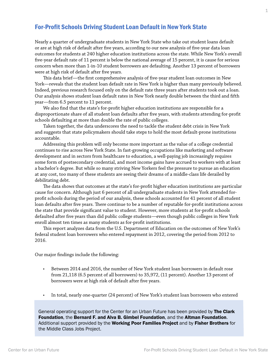# For-Profit Schools Driving Student Loan Default in New York State

Nearly a quarter of undergraduate students in New York State who take out student loans default or are at high risk of default after five years, according to our new analysis of five-year data loan outcomes for students at 240 higher education institutions across the state. While New York's overall five-year default rate of 11 percent is below the national average of 15 percent, it is cause for serious concern when more than 1-in-10 student borrowers are defaulting. Another 13 percent of borrowers were at high risk of default after five years.

This data brief—the first comprehensive analysis of five-year student loan outcomes in New York—reveals that the student loan default rate in New York is higher than many previously believed. Indeed, previous research focused only on the default rate three years after students took out a loan. Our analysis shows student loan default rates in New York nearly double between the third and fifth year—from 6.5 percent to 11 percent.

We also find that the state's for-profit higher education institutions are responsible for a disproportionate share of all student loan defaults after five years, with students attending for-profit schools defaulting at more than double the rate of public colleges.

Taken together, the data underscores the need to tackle the student debt crisis in New York and suggests that state policymakers should take steps to hold the most default-prone institutions accountable.

Addressing this problem will only become more important as the value of a college credential continues to rise across New York State. In fast-growing occupations like marketing and software development and in sectors from healthcare to education, a well-paying job increasingly requires some form of postsecondary credential, and most income gains have accrued to workers with at least a bachelor's degree. But while so many striving New Yorkers feel the pressure to pursue an education at any cost, too many of these students are seeing their dreams of a middle-class life derailed by debilitating debt.

The data shows that outcomes at the state's for-profit higher education institutions are particular cause for concern. Although just 6 percent of all undergraduate students in New York attended forprofit schools during the period of our analysis, these schools accounted for 41 percent of all student loan defaults after five years. There continue to be a number of reputable for-profit institutions across the state that provide significant value to student. However, more students at for-profit schools defaulted after five years than did public college students—even though public colleges in New York enroll almost ten times as many students as for-profit institutions.

This report analyzes data from the U.S. Department of Education on the outcomes of New York's federal student loan borrowers who entered repayment in 2012, covering the period from 2012 to 2016.

Our major findings include the following:

- Between 2014 and 2016, the number of New York student loan borrowers in default rose from 21,118 (6.5 percent of all borrowers) to 35,972, (11 percent). Another 13 percent of borrowers were at high risk of default after five years.
- In total, nearly one-quarter (24 percent) of New York's student loan borrowers who entered

General operating support for the Center for an Urban Future has been provided by The Clark Foundation, the Bernard F. and Alva B. Gimbel Foundation, and the Altman Foundation. Additional support provided by the Working Poor Families Project and by Fisher Brothers for the Middle Class Jobs Project.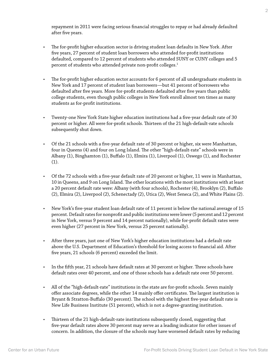repayment in 2011 were facing serious financial struggles to repay or had already defaulted after five years.

- The for-profit higher education sector is driving student loan defaults in New York. After five years, 27 percent of student loan borrowers who attended for-profit institutions defaulted, compared to 12 percent of students who attended SUNY or CUNY colleges and 5 percent of students who attended private non-profit colleges.<sup>1</sup>
- The for-profit higher education sector accounts for 6 percent of all undergraduate students in New York and 17 percent of student loan borrowers—but 41 percent of borrowers who defaulted after five years. More for-profit students defaulted after five years than public college students, even though public colleges in New York enroll almost ten times as many students as for-profit institutions.
- Twenty-one New York State higher education institutions had a five-year default rate of 30 percent or higher. All were for-profit schools. Thirteen of the 21 high-default-rate schools subsequently shut down.
- Of the 21 schools with a five-year default rate of 30 percent or higher, six were Manhattan, four in Queens (4) and four on Long Island. The other "high-default-rate" schools were in Albany (1), Binghamton (1), Buffalo (1), Elmira (1), Liverpool (1), Oswego (1), and Rochester (1).
- Of the 72 schools with a five-year default rate of 20 percent or higher, 11 were in Manhattan, 10 in Queens, and 9 on Long Island. The other locations with the most institutions with at least a 20 percent default rate were: Albany (with four schools), Rochester (4), Brooklyn (2), Buffalo (2), Elmira (2), Liverpool (2), Schenectady (2), Utica (2), West Seneca (2), and White Plains (2).
- New York's five-year student loan default rate of 11 percent is below the national average of 15 percent. Default rates for nonprofit and public institutions were lower (5 percent and 12 percent in New York, versus 9 percent and 14 percent nationally), while for-profit default rates were even higher (27 percent in New York, versus 25 percent nationally).
- After three years, just one of New York's higher education institutions had a default rate above the U.S. Department of Education's threshold for losing access to financial aid. After five years, 21 schools (6 percent) exceeded the limit.
- In the fifth year, 21 schools have default rates at 30 percent or higher. Three schools have default rates over 40 percent, and one of those schools has a default rate over 50 percent.
- All of the "high-default-rate" institutions in the state are for-profit schools. Seven mainly offer associate degrees, while the other 14 mainly offer certificates. The largest institution is Bryant & Stratton-Buffalo (30 percent). The school with the highest five-year default rate is New Life Business Institute (51 percent), which is not a degree-granting institution.
- Thirteen of the 21 high-default-rate institutions subsequently closed, suggesting that five-year default rates above 30 percent may serve as a leading indicator for other issues of concern. In addition, the closure of the schools may have worsened default rates by reducing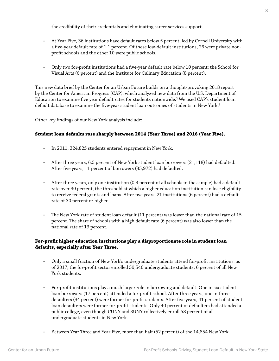the credibility of their credentials and eliminating career services support.

- At Year Five, 36 institutions have default rates below 5 percent, led by Cornell University with a five-year default rate of 1.1 percent. Of these low-default institutions, 26 were private nonprofit schools and the other 10 were public schools.
- Only two for-profit institutions had a five-year default rate below 10 percent: the School for Visual Arts (6 percent) and the Institute for Culinary Education (8 percent).

This new data brief by the Center for an Urban Future builds on a thought-provoking 2018 report by the Center for American Progress (CAP), which analyzed new data from the U.S. Department of Education to examine five year default rates for students nationwide. $^{\rm 2}$  We used CAP's student loan default database to examine the five-year student loan outcomes of students in New York. $^3$ 

Other key findings of our New York analysis include:

#### **Student loan defaults rose sharply between 2014 (Year Three) and 2016 (Year Five).**

- In 2011, 324,825 students entered repayment in New York.
- After three years, 6.5 percent of New York student loan borrowers (21,118) had defaulted. After five years, 11 percent of borrowers (35,972) had defaulted.
- After three years, only one institution (0.3 percent of all schools in the sample) had a default rate over 30 percent, the threshold at which a higher education institution can lose eligibility to receive federal grants and loans. After five years, 21 institutions (6 percent) had a default rate of 30 percent or higher.
- The New York rate of student loan default (11 percent) was lower than the national rate of 15 percent. The share of schools with a high default rate (6 percent) was also lower than the national rate of 13 percent.

### **For-profit higher education institutions play a disproportionate role in student loan defaults, especially after Year Three.**

- Only a small fraction of New York's undergraduate students attend for-profit institutions: as of 2017, the for-profit sector enrolled 59,540 undergraduate students, 6 percent of all New York students.
- For-profit institutions play a much larger role in borrowing and default. One in six student loan borrowers (17 percent) attended a for-profit school. After three years, one in three defaulters (34 percent) were former for-profit students. After five years, 41 percent of student loan defaulters were former for-profit students. Only 40 percent of defaulters had attended a public college, even though CUNY and SUNY collectively enroll 58 percent of all undergraduate students in New York.
- Between Year Three and Year Five, more than half (52 percent) of the 14,854 New York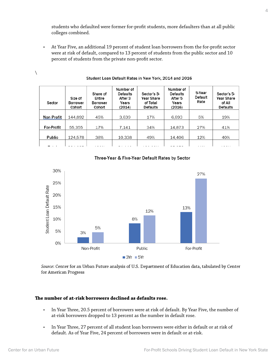students who defaulted were former for-profit students, more defaulters than at all public colleges combined.

• At Year Five, an additional 19 percent of student loan borrowers from the for-profit sector were at risk of default, compared to 13 percent of students from the public sector and 10 percent of students from the private non-profit sector.

| Sector     | Size of<br>Borrower<br>Cohort | Share of<br>Entire<br>Borrower<br>Cohort | Number of<br><b>Defaults</b><br>After 3<br>Years<br>(2014) | Sector's 3-<br>Year Share<br>of Total<br><b>Defaults</b> | Number of<br><b>Defaults</b><br>After 5<br>Years<br>(2016) | 5-Year<br>Default<br>Rate | Sector's 5-<br>Year Share<br>of All<br><b>Defaults</b> |
|------------|-------------------------------|------------------------------------------|------------------------------------------------------------|----------------------------------------------------------|------------------------------------------------------------|---------------------------|--------------------------------------------------------|
| Non Profit | 144.892                       | 45%                                      | 3.639                                                      | 17%                                                      | 6.693                                                      | 5%                        | 19%                                                    |
| For-Profit | 55,355                        | 17%                                      | 7.141                                                      | 34%                                                      | 14.873                                                     | 27%                       | 41%                                                    |
| Public     | 124.578                       | 38%                                      | 10.338                                                     | 49%                                                      | 14.406                                                     | 12%                       | 40%                                                    |
| -          |                               | .                                        |                                                            |                                                          |                                                            | 1.1.1                     | .                                                      |

#### Student Loan Default Rates in New York, 2014 and 2016



#### Three-Year & Five-Year Default Rates by Sector

Source: Center for an Urban Future analysis of U.S. Department of Education data, tabulated by Center for American Progress

#### **The number of at-risk borrowers declined as defaults rose.**

- In Year Three, 20.5 percent of borrowers were at risk of default. By Year Five, the number of at-risk borrowers dropped to 13 percent as the number in default rose.
- In Year Three, 27 percent of all student loan borrowers were either in default or at risk of default. As of Year Five, 24 percent of borrowers were in default or at-risk.

 $\setminus$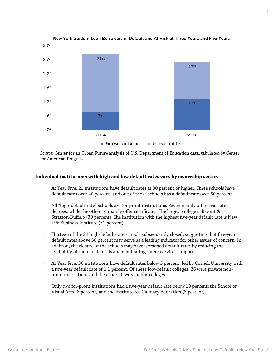

New York Student Loan Borrowers in Default and At-Risk at Three Years and Five Years

Source: Center for an Urban Future analysis of U.S. Department of Education data, tabulated by Center for American Progress

#### **Individual institutions with high and low default rates vary by ownership sector.**

- At Year Five, 21 institutions have default rates at 30 percent or higher. Three schools have default rates over 40 percent, and one of those schools has a default rate over 50 percent.
- All "high-default-rate" schools are for-profit institutions. Seven mainly offer associate degrees, while the other 14 mainly offer certificates. The largest college is Bryant & Stratton-Buffalo (30 percent). The institution with the highest five-year default rate is New Life Business Institute (51 percent).
- Thirteen of the 21 high-default-rate schools subsequently closed, suggesting that five-year default rates above 30 percent may serve as a leading indicator for other issues of concern. In addition, the closure of the schools may have worsened default rates by reducing the credibility of their credentials and eliminating career services support.
- At Year Five, 36 institutions have default rates below 5 percent, led by Cornell University with a five-year default rate of 1.1 percent. Of these low-default colleges, 26 were private nonprofit institutions and the other 10 were public colleges.
- Only two for-profit institutions had a five-year default rate below 10 percent: the School of Visual Arts (6 percent) and the Institute for Culinary Education (8 percent).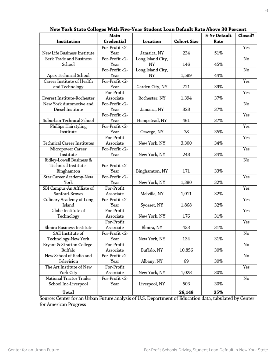|                                    | o<br>Main                |                   |             | 5-Yr Default | Closed? |
|------------------------------------|--------------------------|-------------------|-------------|--------------|---------|
| Institution                        | Credential               | Location          | Cohort Size | Rate         |         |
|                                    | For-Profit <2-           |                   |             |              | Yes     |
| New Life Business Institute        | Year                     | Jamaica, NY       | 234         | 51%          |         |
| Berk Trade and Business            | For-Profit $\langle 2 -$ | Long Island City, |             |              | No      |
| School                             | Year                     | NY                | 146         | 45%          |         |
|                                    | For-Profit <2-           | Long Island City, |             |              | No      |
| Apex Technical School              | Year                     | NY                | 1,599       | 44%          |         |
| Career Institute of Health         | For-Profit <2-           |                   |             |              | Yes     |
| and Technology                     | Year                     | Garden City, NY   | 721         | 39%          |         |
|                                    | For-Profit               |                   |             |              | Yes     |
| Everest Institute-Rochester        | Associate                | Rochester, NY     | 1,394       | 37%          |         |
| New York Automotive and            | For-Profit <2-           |                   |             |              | No      |
| Diesel Institute                   | Year                     | Jamaica, NY       | 328         | 37%          |         |
|                                    | For-Profit <2-           |                   |             |              | Yes     |
| Suburban Technical School          | Year                     | Hempstead, NY     | 461         | 37%          |         |
| Phillips Hairstyling               | For-Profit <2-           |                   |             |              | Yes     |
| Institute                          | Year                     | Oswego, NY        | 78          | 35%          |         |
|                                    | For-Profit               |                   |             |              | Yes     |
| <b>Technical Career Institutes</b> | Associate                | New York, NY      | 3,300       | 34%          |         |
| Micropower Career                  | For-Profit <2-           |                   |             |              | Yes     |
| Institute                          | Year                     | New York, NY      | 248         | 34%          |         |
| Ridley-Lowell Business &           |                          |                   |             |              | No      |
| Technical Institute-               | For-Profit <2-           |                   |             |              |         |
| Binghamton                         | Year                     | Binghamton, NY    | 171         | 33%          |         |
| Star Career Academy-New            | For-Profit <2-           |                   |             |              | Yes     |
| York                               | Year                     | New York, NY      | 1,390       | 32%          |         |
| SBI Campus-An Affiliate of         | For-Profit               |                   |             |              | Yes     |
| Sanford-Brown                      | Associate                | Melville, NY      | 1,011       | 32%          |         |
| Culinary Academy of Long           | For-Profit <2-           |                   |             |              | Yes     |
| Island                             | Year                     | Syosset, NY       | 1,868       | 32%          |         |
| Globe Institute of                 | For-Profit               |                   |             |              | Yes     |
| Technology                         | Associate                | New York, NY      | 176         | 31%          |         |
|                                    | For-Profit               |                   |             |              | Yes     |
| Elmira Business Institute          | Associate                | Elmira, NY        | 433         | 31%          |         |
| SAE Institute of                   | For-Profit <2-           |                   |             |              | No      |
| Technology-New York                | Year                     | New York, NY      | 134         | 31%          |         |
| Bryant & Stratton College-         | For-Profit               |                   |             |              | No      |
| Buffalo                            | Associate                | Buffalo, NY       | 10,856      | 30%          |         |
| New School of Radio and            | For-Profit <2-           |                   |             |              | No      |
| Television                         | Year                     | Albany, NY        | 69          | 30%          |         |
| The Art Institute of New           | For-Profit               |                   |             |              | Yes     |
| York City                          | Associate                | New York, NY      | 1,028       | 30%          |         |
| National Tractor Trailer           | For-Profit <2-           |                   |             |              | No      |
| School Inc-Liverpool               | Year                     | Liverpool, NY     | 503         | 30%          |         |
| Total                              |                          |                   | 26,148      | 35%          |         |

New York State Colleges With Five-Year Student Loan Default Rate Above 30 Percent

Source: Center for an Urban Future analysis of U.S. Department of Education data, tabulated by Center for American Progress